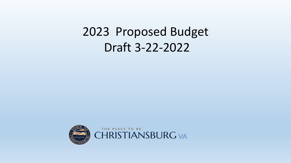# 2023 Proposed Budget Draft 3-22-2022

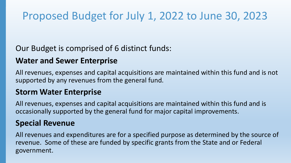### Our Budget is comprised of 6 distinct funds:

### **Water and Sewer Enterprise**

All revenues, expenses and capital acquisitions are maintained within this fund and is not supported by any revenues from the general fund.

### **Storm Water Enterprise**

All revenues, expenses and capital acquisitions are maintained within this fund and is occasionally supported by the general fund for major capital improvements.

### **Special Revenue**

All revenues and expenditures are for a specified purpose as determined by the source of revenue. Some of these are funded by specific grants from the State and or Federal government.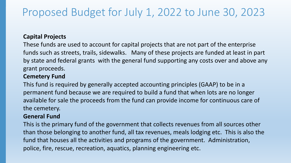### **Capital Projects**

These funds are used to account for capital projects that are not part of the enterprise funds such as streets, trails, sidewalks. Many of these projects are funded at least in part by state and federal grants with the general fund supporting any costs over and above any grant proceeds.

### **Cemetery Fund**

This fund is required by generally accepted accounting principles (GAAP) to be in a permanent fund because we are required to build a fund that when lots are no longer available for sale the proceeds from the fund can provide income for continuous care of the cemetery.

### **General Fund**

This is the primary fund of the government that collects revenues from all sources other than those belonging to another fund, all tax revenues, meals lodging etc. This is also the fund that houses all the activities and programs of the government. Administration, police, fire, rescue, recreation, aquatics, planning engineering etc.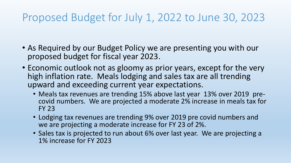- As Required by our Budget Policy we are presenting you with our proposed budget for fiscal year 2023.
- Economic outlook not as gloomy as prior years, except for the very high inflation rate. Meals lodging and sales tax are all trending upward and exceeding current year expectations.
	- Meals tax revenues are trending 15% above last year 13% over 2019 precovid numbers. We are projected a moderate 2% increase in meals tax for FY 23
	- Lodging tax revenues are trending 9% over 2019 pre covid numbers and we are projecting a moderate increase for FY 23 of 2%.
	- Sales tax is projected to run about 6% over last year. We are projecting a 1% increase for FY 2023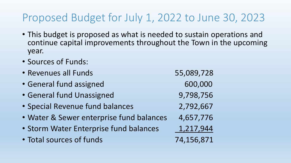- This budget is proposed as what is needed to sustain operations and continue capital improvements throughout the Town in the upcoming year.
- Sources of Funds:
- Revenues all Funds 55,089,728 • General fund assigned 600,000 • General fund Unassigned 9,798,756 • Special Revenue fund balances 2,792,667
- Water & Sewer enterprise fund balances 4,657,776
- Storm Water Enterprise fund balances 1,217,944
- Total sources of funds 74,156,871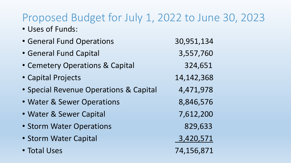• Uses of Funds:

| • General Fund Operations              | 30,951,134   |
|----------------------------------------|--------------|
| • General Fund Capital                 | 3,557,760    |
| • Cemetery Operations & Capital        | 324,651      |
| • Capital Projects                     | 14, 142, 368 |
| • Special Revenue Operations & Capital | 4,471,978    |
| • Water & Sewer Operations             | 8,846,576    |
| • Water & Sewer Capital                | 7,612,200    |
| • Storm Water Operations               | 829,633      |
| • Storm Water Capital                  | 3,420,571    |
| • Total Uses                           | 74,156,871   |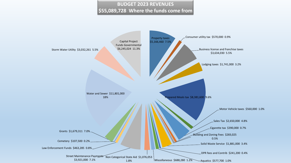#### **BUDGET 2023 REVENUES \$55,089,728 Where the funds come from**

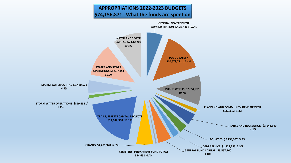#### **APPROPRIATIONS 2022-2023 BUDGETS \$74,156,871 What the funds are spent on**

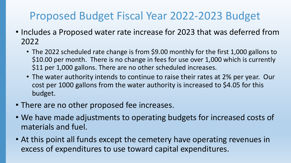## Proposed Budget Fiscal Year 2022-2023 Budget

- Includes a Proposed water rate increase for 2023 that was deferred from 2022
	- The 2022 scheduled rate change is from \$9.00 monthly for the first 1,000 gallons to \$10.00 per month. There is no change in fees for use over 1,000 which is currently \$11 per 1,000 gallons. There are no other scheduled increases.
	- The water authority intends to continue to raise their rates at 2% per year. Our cost per 1000 gallons from the water authority is increased to \$4.05 for this budget.
- There are no other proposed fee increases.
- We have made adjustments to operating budgets for increased costs of materials and fuel.
- At this point all funds except the cemetery have operating revenues in excess of expenditures to use toward capital expenditures.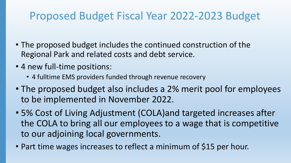## Proposed Budget Fiscal Year 2022-2023 Budget

- The proposed budget includes the continued construction of the Regional Park and related costs and debt service.
- 4 new full-time positions:
	- 4 fulltime EMS providers funded through revenue recovery
- The proposed budget also includes a 2% merit pool for employees to be implemented in November 2022.
- 5% Cost of Living Adjustment (COLA)and targeted increases after the COLA to bring all our employees to a wage that is competitive to our adjoining local governments.
- Part time wages increases to reflect a minimum of \$15 per hour.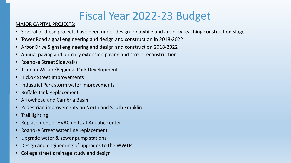# Fiscal Year 2022-23 Budget

#### MAJOR CAPITAL PROJECTS:

- Several of these projects have been under design for awhile and are now reaching construction stage.
- Tower Road signal engineering and design and construction in 2018-2022
- Arbor Drive Signal engineering and design and construction 2018-2022
- Annual paving and primary extension paving and street reconstruction
- Roanoke Street Sidewalks
- Truman Wilson/Regional Park Development
- Hickok Street Improvements
- Industrial Park storm water improvements
- Buffalo Tank Replacement
- Arrowhead and Cambria Basin
- Pedestrian improvements on North and South Franklin
- Trail lighting
- Replacement of HVAC units at Aquatic center
- Roanoke Street water line replacement
- Upgrade water & sewer pump stations
- Design and engineering of upgrades to the WWTP
- College street drainage study and design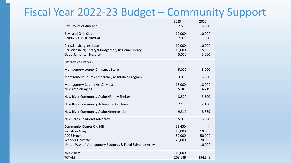### Fiscal Year 2022-23 Budget – Community Support

|                                                          | 2023    | 2022    |
|----------------------------------------------------------|---------|---------|
| <b>Boy Scouts of America</b>                             | 2,500   | 5,000   |
| Boys and Girls Club                                      | 10,000  | 10,000  |
| Children's Trust NRVCAC                                  | 7,000   | 7,000   |
| Christiansburg Institute                                 | 10,000  | 10,000  |
| Christiansburg Library/Montgomery Regional Library       | 15,000  | 15,000  |
| <b>Good Samaritan Hospice</b>                            | 5,000   | 5,000   |
| Literacy Volunteers                                      | 1,738   | 1,655   |
| Montgomery county Christmas Store                        | 5,000   | 5,000   |
| Montgomery County Emergency Assistance Program           | 3,000   | 3,500   |
| Montgomery County Art & Museum                           | 18,000  | 18,000  |
| NRV Area on Aging                                        | 5,049   | 4,719   |
| New River Community Action/Family Shelter                | 3,500   | 3,500   |
| New River Community Action/To Our House                  | 2,100   | 2,100   |
| New River Community Action/Intervention                  | 9,312   | 8,869   |
| NRV Cares Children's Advocacy                            | 5,000   | 5,000   |
| <b>Community Center Old Hill</b>                         | 11,450  |         |
| <b>Salvation Army</b>                                    | 10,000  | 10,000  |
| <b>ACCE Program</b>                                      | 50,000  | 50,000  |
| <b>Wonder Universe</b>                                   | 25,000  | 20,000  |
| United Way of Montgomery Radford a& Floyd Salvation Army |         | 10,000  |
| YMCA at VT                                               | 10,000  |         |
| <b>TOTALS</b>                                            | 208,649 | 194,343 |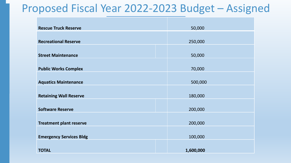### Proposed Fiscal Year 2022-2023 Budget – Assigned

| <b>Rescue Truck Reserve</b>    | 50,000    |
|--------------------------------|-----------|
| <b>Recreational Reserve</b>    | 250,000   |
| <b>Street Maintenance</b>      | 50,000    |
| <b>Public Works Complex</b>    | 70,000    |
| <b>Aquatics Maintenance</b>    | 500,000   |
| <b>Retaining Wall Reserve</b>  | 180,000   |
| <b>Software Reserve</b>        | 200,000   |
| <b>Treatment plant reserve</b> | 200,000   |
| <b>Emergency Services Bldg</b> | 100,000   |
| <b>TOTAL</b>                   | 1,600,000 |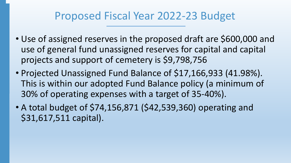### Proposed Fiscal Year 2022-23 Budget

- Use of assigned reserves in the proposed draft are \$600,000 and use of general fund unassigned reserves for capital and capital projects and support of cemetery is \$9,798,756
- Projected Unassigned Fund Balance of \$17,166,933 (41.98%). This is within our adopted Fund Balance policy (a minimum of 30% of operating expenses with a target of 35-40%).
- A total budget of \$74,156,871 (\$42,539,360) operating and \$31,617,511 capital).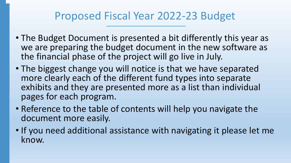### Proposed Fiscal Year 2022-23 Budget

- The Budget Document is presented a bit differently this year as we are preparing the budget document in the new software as the financial phase of the project will go live in July.
- The biggest change you will notice is that we have separated more clearly each of the different fund types into separate exhibits and they are presented more as a list than individual pages for each program.
- Reference to the table of contents will help you navigate the document more easily.
- If you need additional assistance with navigating it please let me know.